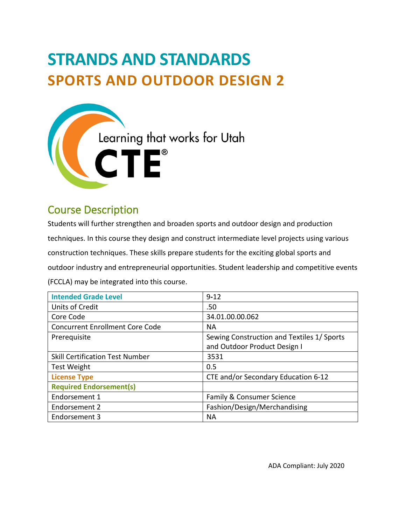# **STRANDS AND STANDARDS SPORTS AND OUTDOOR DESIGN 2**



# Course Description

Students will further strengthen and broaden sports and outdoor design and production techniques. In this course they design and construct intermediate level projects using various construction techniques. These skills prepare students for the exciting global sports and outdoor industry and entrepreneurial opportunities. Student leadership and competitive events (FCCLA) may be integrated into this course.

| <b>Intended Grade Level</b>            | $9 - 12$                                   |
|----------------------------------------|--------------------------------------------|
| <b>Units of Credit</b>                 | .50                                        |
| Core Code                              | 34.01.00.00.062                            |
| <b>Concurrent Enrollment Core Code</b> | <b>NA</b>                                  |
| Prerequisite                           | Sewing Construction and Textiles 1/ Sports |
|                                        | and Outdoor Product Design I               |
| <b>Skill Certification Test Number</b> | 3531                                       |
| <b>Test Weight</b>                     | 0.5                                        |
| <b>License Type</b>                    | CTE and/or Secondary Education 6-12        |
| <b>Required Endorsement(s)</b>         |                                            |
| Endorsement 1                          | Family & Consumer Science                  |
| Endorsement 2                          | Fashion/Design/Merchandising               |
| Endorsement 3                          | <b>NA</b>                                  |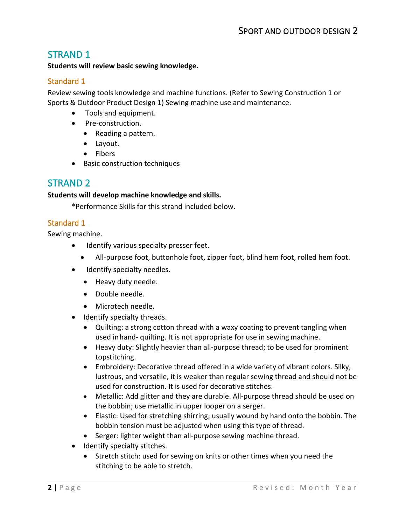# STRAND 1

#### **Students will review basic sewing knowledge.**

#### Standard 1

Review sewing tools knowledge and machine functions. (Refer to Sewing Construction 1 or Sports & Outdoor Product Design 1) Sewing machine use and maintenance.

- Tools and equipment.
- Pre-construction.
	- Reading a pattern.
	- Layout.
	- Fibers
- Basic construction techniques

# STRAND 2

#### **Students will develop machine knowledge and skills.**

\*Performance Skills for this strand included below.

#### Standard 1

Sewing machine.

- Identify various specialty presser feet.
	- All-purpose foot, buttonhole foot, zipper foot, blind hem foot, rolled hem foot.
- Identify specialty needles.
	- Heavy duty needle.
	- Double needle.
	- Microtech needle.
- Identify specialty threads.
	- Quilting: a strong cotton thread with a waxy coating to prevent tangling when used inhand- quilting. It is not appropriate for use in sewing machine.
	- Heavy duty: Slightly heavier than all-purpose thread; to be used for prominent topstitching.
	- Embroidery: Decorative thread offered in a wide variety of vibrant colors. Silky, lustrous, and versatile, it is weaker than regular sewing thread and should not be used for construction. It is used for decorative stitches.
	- Metallic: Add glitter and they are durable. All-purpose thread should be used on the bobbin; use metallic in upper looper on a serger.
	- Elastic: Used for stretching shirring; usually wound by hand onto the bobbin. The bobbin tension must be adjusted when using this type of thread.
	- Serger: lighter weight than all-purpose sewing machine thread.
- Identify specialty stitches.
	- Stretch stitch: used for sewing on knits or other times when you need the stitching to be able to stretch.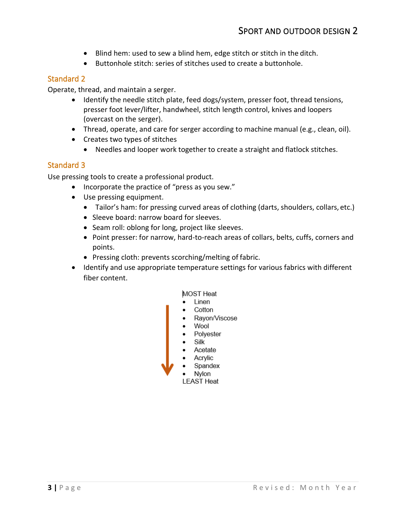- Blind hem: used to sew a blind hem, edge stitch or stitch in the ditch.
- Buttonhole stitch: series of stitches used to create a buttonhole.

Operate, thread, and maintain a serger.

- Identify the needle stitch plate, feed dogs/system, presser foot, thread tensions, presser foot lever/lifter, handwheel, stitch length control, knives and loopers (overcast on the serger).
- Thread, operate, and care for serger according to machine manual (e.g., clean, oil).
- Creates two types of stitches
	- Needles and looper work together to create a straight and flatlock stitches.

#### Standard 3

Use pressing tools to create a professional product.

- Incorporate the practice of "press as you sew."
- Use pressing equipment.
	- Tailor's ham: for pressing curved areas of clothing (darts, shoulders, collars, etc.)
	- Sleeve board: narrow board for sleeves.
	- Seam roll: oblong for long, project like sleeves.
	- Point presser: for narrow, hard-to-reach areas of collars, belts, cuffs, corners and points.
	- Pressing cloth: prevents scorching/melting of fabric.
- Identify and use appropriate temperature settings for various fabrics with different fiber content.

#### MOST Heat

- Linen
- Cotton
- Rayon/Viscose
- Wool
- Polyester
- Silk
- Acetate
- Acrylic
- Spandex Nylon

**LEAST Heat**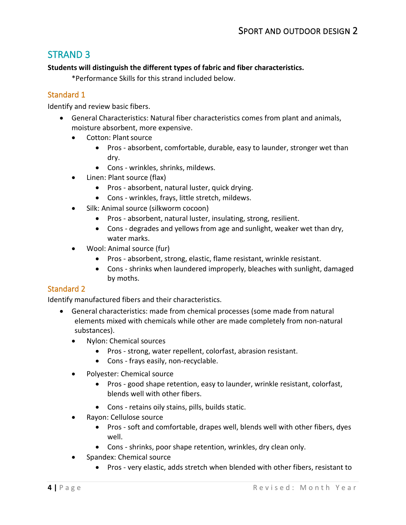# STRAND 3

#### **Students will distinguish the different types of fabric and fiber characteristics.**

\*Performance Skills for this strand included below.

## Standard 1

Identify and review basic fibers.

- General Characteristics: Natural fiber characteristics comes from plant and animals, moisture absorbent, more expensive.
	- Cotton: Plant source
		- Pros absorbent, comfortable, durable, easy to launder, stronger wet than dry.
		- Cons wrinkles, shrinks, mildews.
	- Linen: Plant source (flax)
		- Pros absorbent, natural luster, quick drying.
		- Cons wrinkles, frays, little stretch, mildews.
	- Silk: Animal source (silkworm cocoon)
		- Pros absorbent, natural luster, insulating, strong, resilient.
		- Cons degrades and yellows from age and sunlight, weaker wet than dry, water marks.
	- Wool: Animal source (fur)
		- Pros absorbent, strong, elastic, flame resistant, wrinkle resistant.
		- Cons shrinks when laundered improperly, bleaches with sunlight, damaged by moths.

## Standard 2

Identify manufactured fibers and their characteristics.

- General characteristics: made from chemical processes (some made from natural elements mixed with chemicals while other are made completely from non-natural substances).
	- Nylon: Chemical sources
		- Pros strong, water repellent, colorfast, abrasion resistant.
		- Cons frays easily, non-recyclable.
	- Polyester: Chemical source
		- Pros good shape retention, easy to launder, wrinkle resistant, colorfast, blends well with other fibers.
		- Cons retains oily stains, pills, builds static.
	- Rayon: Cellulose source
		- Pros soft and comfortable, drapes well, blends well with other fibers, dyes well.
		- Cons shrinks, poor shape retention, wrinkles, dry clean only.
	- Spandex: Chemical source
		- Pros very elastic, adds stretch when blended with other fibers, resistant to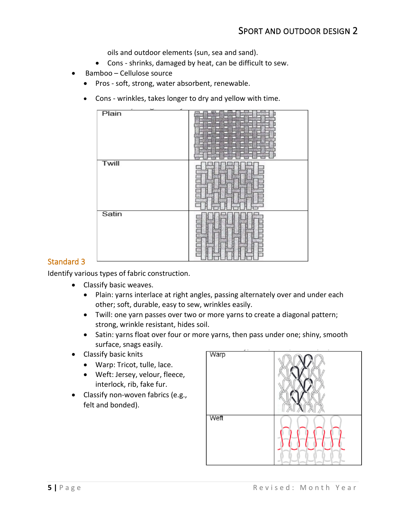oils and outdoor elements (sun, sea and sand).

- Cons shrinks, damaged by heat, can be difficult to sew.
- Bamboo Cellulose source
	- Pros soft, strong, water absorbent, renewable.
	- Cons wrinkles, takes longer to dry and yellow with time.



#### Standard 3

Identify various types of fabric construction.

- Classify basic weaves.
	- Plain: yarns interlace at right angles, passing alternately over and under each other; soft, durable, easy to sew, wrinkles easily.
	- Twill: one yarn passes over two or more yarns to create a diagonal pattern; strong, wrinkle resistant, hides soil.
	- Satin: yarns float over four or more yarns, then pass under one; shiny, smooth surface, snags easily.
- Classify basic knits
	- Warp: Tricot, tulle, lace.
	- Weft: Jersey, velour, fleece, interlock, rib, fake fur.
- Classify non-woven fabrics (e.g., felt and bonded).

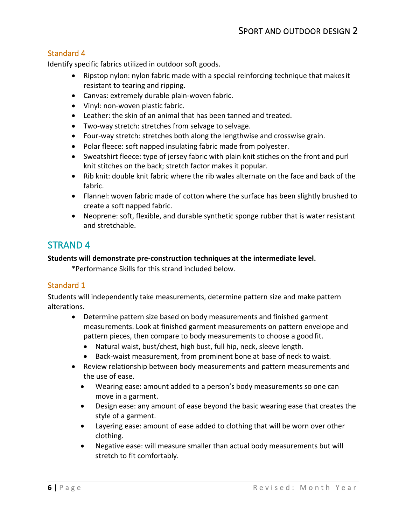Identify specific fabrics utilized in outdoor soft goods.

- Ripstop nylon: nylon fabric made with a special reinforcing technique that makesit resistant to tearing and ripping.
- Canvas: extremely durable plain-woven fabric.
- Vinyl: non-woven plastic fabric.
- Leather: the skin of an animal that has been tanned and treated.
- Two-way stretch: stretches from selvage to selvage.
- Four-way stretch: stretches both along the lengthwise and crosswise grain.
- Polar fleece: soft napped insulating fabric made from polyester.
- Sweatshirt fleece: type of jersey fabric with plain knit stiches on the front and purl knit stitches on the back; stretch factor makes it popular.
- Rib knit: double knit fabric where the rib wales alternate on the face and back of the fabric.
- Flannel: woven fabric made of cotton where the surface has been slightly brushed to create a soft napped fabric.
- Neoprene: soft, flexible, and durable synthetic sponge rubber that is water resistant and stretchable.

# STRAND 4

#### **Students will demonstrate pre-construction techniques at the intermediate level.**

\*Performance Skills for this strand included below.

#### Standard 1

Students will independently take measurements, determine pattern size and make pattern alterations.

- Determine pattern size based on body measurements and finished garment measurements. Look at finished garment measurements on pattern envelope and pattern pieces, then compare to body measurements to choose a good fit.
	- Natural waist, bust/chest, high bust, full hip, neck, sleeve length.
	- Back-waist measurement, from prominent bone at base of neck to waist.
- Review relationship between body measurements and pattern measurements and the use of ease.
	- Wearing ease: amount added to a person's body measurements so one can move in a garment.
	- Design ease: any amount of ease beyond the basic wearing ease that creates the style of a garment.
	- Layering ease: amount of ease added to clothing that will be worn over other clothing.
	- Negative ease: will measure smaller than actual body measurements but will stretch to fit comfortably.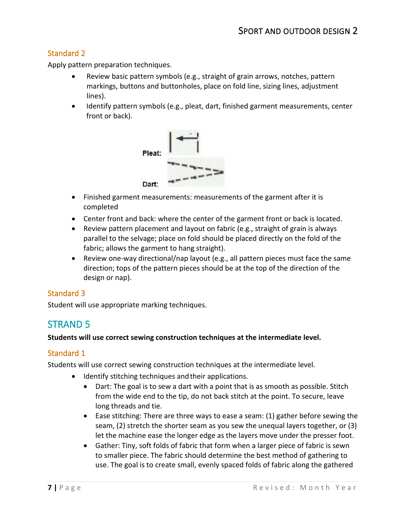Apply pattern preparation techniques.

- Review basic pattern symbols (e.g., straight of grain arrows, notches, pattern markings, buttons and buttonholes, place on fold line, sizing lines, adjustment lines).
- Identify pattern symbols (e.g., pleat, dart, finished garment measurements, center front or back).



- Finished garment measurements: measurements of the garment after it is completed
- Center front and back: where the center of the garment front or back is located.
- Review pattern placement and layout on fabric (e.g., straight of grain is always parallel to the selvage; place on fold should be placed directly on the fold of the fabric; allows the garment to hang straight).
- Review one-way directional/nap layout (e.g., all pattern pieces must face the same direction; tops of the pattern pieces should be at the top of the direction of the design or nap).

#### Standard 3

Student will use appropriate marking techniques.

# STRAND 5

#### **Students will use correct sewing construction techniques at the intermediate level.**

#### Standard 1

Students will use correct sewing construction techniques at the intermediate level.

- Identify stitching techniques and their applications.
	- Dart: The goal is to sew a dart with a point that is as smooth as possible. Stitch from the wide end to the tip, do not back stitch at the point. To secure, leave long threads and tie.
	- Ease stitching: There are three ways to ease a seam: (1) gather before sewing the seam, (2) stretch the shorter seam as you sew the unequal layers together, or (3) let the machine ease the longer edge as the layers move under the presser foot.
	- Gather: Tiny, soft folds of fabric that form when a larger piece of fabric is sewn to smaller piece. The fabric should determine the best method of gathering to use. The goal is to create small, evenly spaced folds of fabric along the gathered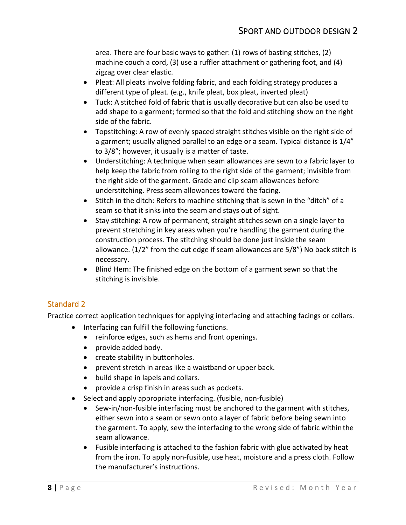area. There are four basic ways to gather: (1) rows of basting stitches, (2) machine couch a cord, (3) use a ruffler attachment or gathering foot, and (4) zigzag over clear elastic.

- Pleat: All pleats involve folding fabric, and each folding strategy produces a different type of pleat. (e.g., knife pleat, box pleat, inverted pleat)
- Tuck: A stitched fold of fabric that is usually decorative but can also be used to add shape to a garment; formed so that the fold and stitching show on the right side of the fabric.
- Topstitching: A row of evenly spaced straight stitches visible on the right side of a garment; usually aligned parallel to an edge or a seam. Typical distance is 1/4" to 3/8"; however, it usually is a matter of taste.
- Understitching: A technique when seam allowances are sewn to a fabric layer to help keep the fabric from rolling to the right side of the garment; invisible from the right side of the garment. Grade and clip seam allowances before understitching. Press seam allowances toward the facing.
- Stitch in the ditch: Refers to machine stitching that is sewn in the "ditch" of a seam so that it sinks into the seam and stays out of sight.
- Stay stitching: A row of permanent, straight stitches sewn on a single layer to prevent stretching in key areas when you're handling the garment during the construction process. The stitching should be done just inside the seam allowance. (1/2" from the cut edge if seam allowances are 5/8") No back stitch is necessary.
- Blind Hem: The finished edge on the bottom of a garment sewn so that the stitching is invisible.

## Standard 2

Practice correct application techniques for applying interfacing and attaching facings or collars.

- Interfacing can fulfill the following functions.
	- reinforce edges, such as hems and front openings.
	- provide added body.
	- create stability in buttonholes.
	- prevent stretch in areas like a waistband or upper back.
	- build shape in lapels and collars.
	- provide a crisp finish in areas such as pockets.
- Select and apply appropriate interfacing. (fusible, non-fusible)
	- Sew-in/non-fusible interfacing must be anchored to the garment with stitches, either sewn into a seam or sewn onto a layer of fabric before being sewn into the garment. To apply, sew the interfacing to the wrong side of fabric withinthe seam allowance.
	- Fusible interfacing is attached to the fashion fabric with glue activated by heat from the iron. To apply non-fusible, use heat, moisture and a press cloth. Follow the manufacturer's instructions.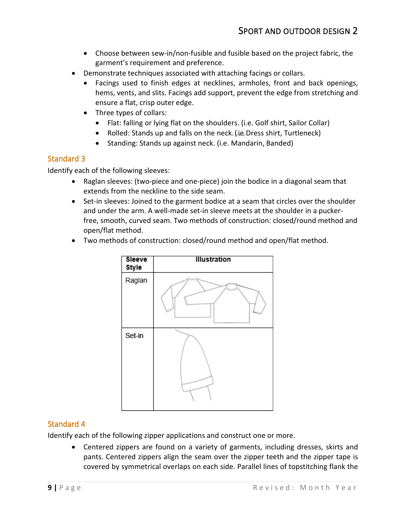- Choose between sew-in/non-fusible and fusible based on the project fabric, the garment's requirement and preference.
- Demonstrate techniques associated with attaching facings or collars.
	- Facings used to finish edges at necklines, armholes, front and back openings, hems, vents, and slits. Facings add support, prevent the edge from stretching and ensure a flat, crisp outer edge.
	- Three types of collars:
		- Flat: falling or lying flat on the shoulders. (i.e. Golf shirt, Sailor Collar)
		- Rolled: Stands up and falls on the neck. (i.e. Dress shirt, Turtleneck)
		- Standing: Stands up against neck. (i.e. Mandarin, Banded)

Identify each of the following sleeves:

- Raglan sleeves: (two-piece and one-piece) join the bodice in a diagonal seam that extends from the neckline to the side seam.
- Set-in sleeves: Joined to the garment bodice at a seam that circles over the shoulder and under the arm. A well-made set-in sleeve meets at the shoulder in a puckerfree, smooth, curved seam. Two methods of construction: closed/round method and open/flat method.
- Two methods of construction: closed/round method and open/flat method.



## Standard 4

Identify each of the following zipper applications and construct one or more.

• Centered zippers are found on a variety of garments, including dresses, skirts and pants. Centered zippers align the seam over the zipper teeth and the zipper tape is covered by symmetrical overlaps on each side. Parallel lines of topstitching flank the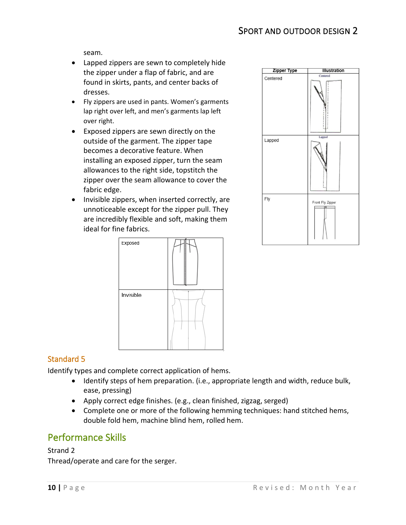# SPORT AND OUTDOOR DESIGN 2

seam.

- Lapped zippers are sewn to completely hide the zipper under a flap of fabric, and are found in skirts, pants, and center backs of dresses.
- Fly zippers are used in pants. Women's garments lap right over left, and men's garments lap left over right.
- Exposed zippers are sewn directly on the outside of the garment. The zipper tape becomes a decorative feature. When installing an exposed zipper, turn the seam allowances to the right side, topstitch the zipper over the seam allowance to cover the fabric edge.
- Invisible zippers, when inserted correctly, are unnoticeable except for the zipper pull. They are incredibly flexible and soft, making them ideal for fine fabrics.





#### Standard 5

Identify types and complete correct application of hems.

- Identify steps of hem preparation. (i.e., appropriate length and width, reduce bulk, ease, pressing)
- Apply correct edge finishes. (e.g., clean finished, zigzag, serged)
- Complete one or more of the following hemming techniques: hand stitched hems, double fold hem, machine blind hem, rolled hem.

## Performance Skills

#### Strand 2

Thread/operate and care for the serger.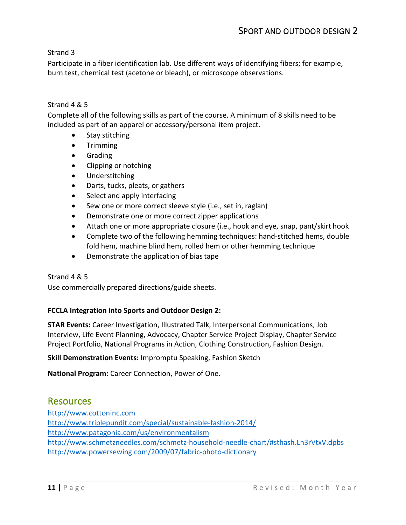Strand 3

Participate in a fiber identification lab. Use different ways of identifying fibers; for example, burn test, chemical test (acetone or bleach), or microscope observations.

#### Strand 4 & 5

Complete all of the following skills as part of the course. A minimum of 8 skills need to be included as part of an apparel or accessory/personal item project.

- Stay stitching
- Trimming
- Grading
- Clipping or notching
- Understitching
- Darts, tucks, pleats, or gathers
- Select and apply interfacing
- Sew one or more correct sleeve style (i.e., set in, raglan)
- Demonstrate one or more correct zipper applications
- Attach one or more appropriate closure (i.e., hook and eye, snap, pant/skirt hook
- Complete two of the following hemming techniques: hand-stitched hems, double fold hem, machine blind hem, rolled hem or other hemming technique
- Demonstrate the application of biastape

#### Strand 4 & 5

Use commercially prepared directions/guide sheets.

#### **FCCLA Integration into Sports and Outdoor Design 2:**

**STAR Events:** Career Investigation, Illustrated Talk, Interpersonal Communications, Job Interview, Life Event Planning, Advocacy, Chapter Service Project Display, Chapter Service Project Portfolio, National Programs in Action, Clothing Construction, Fashion Design.

**Skill Demonstration Events:** Impromptu Speaking, Fashion Sketch

**National Program:** Career Connection, Power of One.

## Resources

[http://www.cottoninc.com](http://www.cottoninc.com/) <http://www.triplepundit.com/special/sustainable-fashion-2014/> <http://www.patagonia.com/us/environmentalism> <http://www.schmetzneedles.com/schmetz-household-needle-chart/#sthash.Ln3rVtxV.dpbs> <http://www.powersewing.com/2009/07/fabric-photo-dictionary>